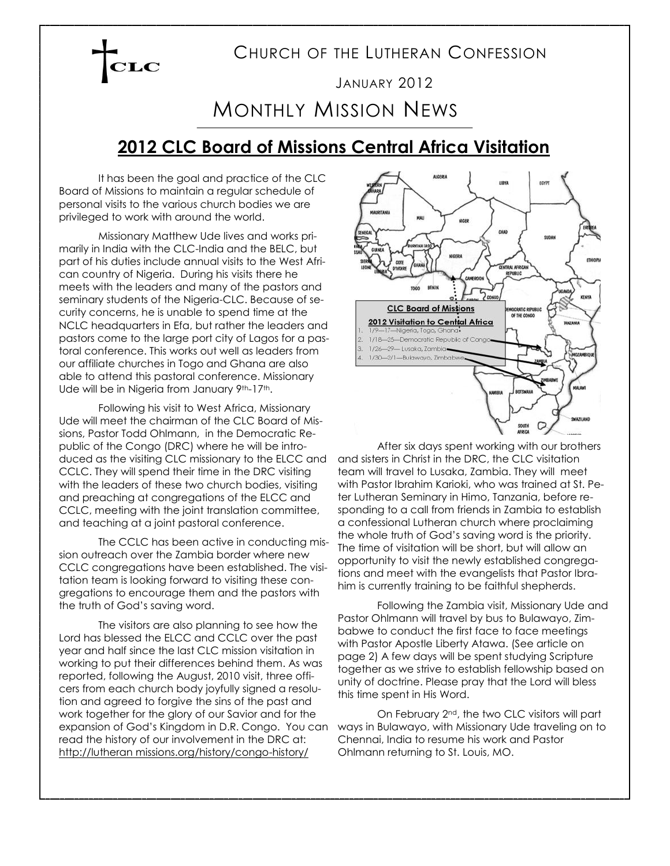### CHURCH OF THE LUTHERAN CONFESSION

#### JANUARY 2012

# MONTHLY MISSION NEWS

### **2012 CLC Board of Missions Central Africa Visitation**

It has been the goal and practice of the CLC Board of Missions to maintain a regular schedule of personal visits to the various church bodies we are privileged to work with around the world.

Missionary Matthew Ude lives and works primarily in India with the CLC-India and the BELC, but part of his duties include annual visits to the West African country of Nigeria. During his visits there he meets with the leaders and many of the pastors and seminary students of the Nigeria-CLC. Because of security concerns, he is unable to spend time at the NCLC headquarters in Efa, but rather the leaders and pastors come to the large port city of Lagos for a pastoral conference. This works out well as leaders from our affiliate churches in Togo and Ghana are also able to attend this pastoral conference. Missionary Ude will be in Nigeria from January 9th-17th.

Following his visit to West Africa, Missionary Ude will meet the chairman of the CLC Board of Missions, Pastor Todd Ohlmann, in the Democratic Republic of the Congo (DRC) where he will be introduced as the visiting CLC missionary to the ELCC and CCLC. They will spend their time in the DRC visiting with the leaders of these two church bodies, visiting and preaching at congregations of the ELCC and CCLC, meeting with the joint translation committee, and teaching at a joint pastoral conference.

The CCLC has been active in conducting mission outreach over the Zambia border where new CCLC congregations have been established. The visitation team is looking forward to visiting these congregations to encourage them and the pastors with the truth of God's saving word.

The visitors are also planning to see how the Lord has blessed the ELCC and CCLC over the past year and half since the last CLC mission visitation in working to put their differences behind them. As was reported, following the August, 2010 visit, three officers from each church body joyfully signed a resolution and agreed to forgive the sins of the past and work together for the glory of our Savior and for the expansion of God's Kingdom in D.R. Congo. You can read the history of our involvement in the DRC at: http://lutheran missions.org/history/congo-history/



After six days spent working with our brothers and sisters in Christ in the DRC, the CLC visitation team will travel to Lusaka, Zambia. They will meet with Pastor Ibrahim Karioki, who was trained at St. Peter Lutheran Seminary in Himo, Tanzania, before responding to a call from friends in Zambia to establish a confessional Lutheran church where proclaiming the whole truth of God's saving word is the priority. The time of visitation will be short, but will allow an opportunity to visit the newly established congregations and meet with the evangelists that Pastor Ibrahim is currently training to be faithful shepherds.

Following the Zambia visit, Missionary Ude and Pastor Ohlmann will travel by bus to Bulawayo, Zimbabwe to conduct the first face to face meetings with Pastor Apostle Liberty Atawa. (See article on page 2) A few days will be spent studying Scripture together as we strive to establish fellowship based on unity of doctrine. Please pray that the Lord will bless this time spent in His Word.

On February 2nd, the two CLC visitors will part ways in Bulawayo, with Missionary Ude traveling on to Chennai, India to resume his work and Pastor Ohlmann returning to St. Louis, MO.